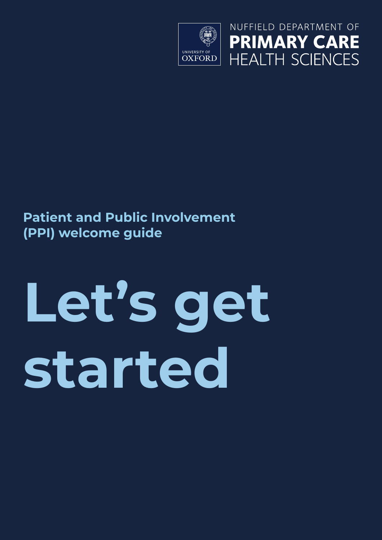

NUFFIELD DEPARTMENT OF **PRIMARY CARE HEALTH SCIENCES** 

### **Patient and Public Involvement (PPI) welcome guide**

# **Let's get started**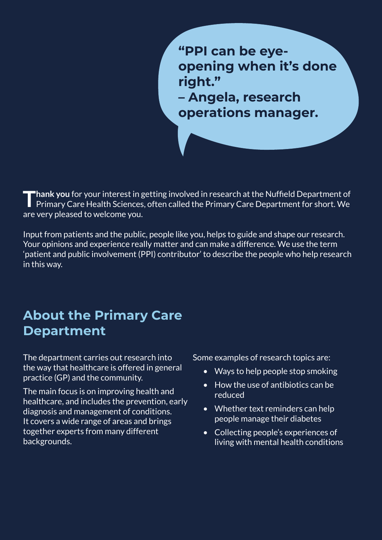**"PPI can be eyeopening when it's done right."**

**– Angela, research operations manager.**

**Thank you** for your interest in getting involved in research at the Nuffield Department of Primary Care Health Sciences, often called the Primary Care Department for short. We are very pleased to welcome you.

Input from patients and the public, people like you, helps to guide and shape our research. Your opinions and experience really matter and can make a difference. We use the term 'patient and public involvement (PPI) contributor' to describe the people who help research in this way.

#### **About the Primary Care Department**

The department carries out research into the way that healthcare is offered in general practice (GP) and the community.

The main focus is on improving health and healthcare, and includes the prevention, early diagnosis and management of conditions. It covers a wide range of areas and brings together experts from many different backgrounds.

Some examples of research topics are:

- Ways to help people stop smoking
- How the use of antibiotics can be reduced
- Whether text reminders can help people manage their diabetes
- Collecting people's experiences of living with mental health conditions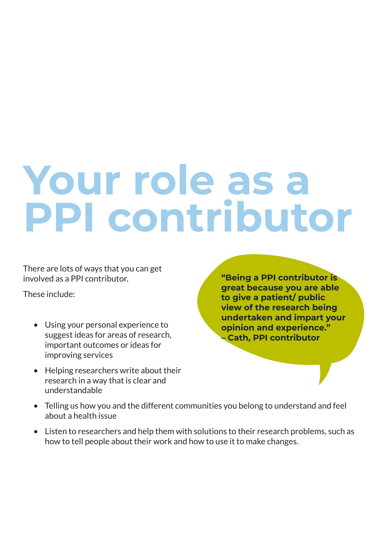# **Your role as a PPI contributor**

There are lots of ways that you can get involved as a PPI contributor.

These include:

- Using your personal experience to suggest ideas for areas of research, important outcomes or ideas for improving services
- Helping researchers write about their research in a way that is clear and understandable

**"Being a PPI contributor is great because you are able to give a patient/ public view of the research being undertaken and impart your opinion and experience." – Cath, PPI contributor**

- Telling us how you and the different communities you belong to understand and feel about a health issue
- Listen to researchers and help them with solutions to their research problems, such as how to tell people about their work and how to use it to make changes.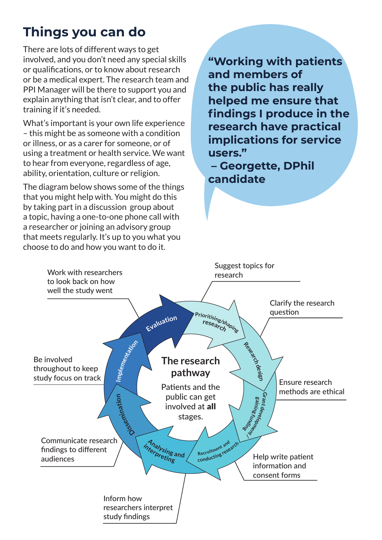# **Things you can do**

There are lots of different ways to get involved, and you don't need any special skills or qualifications, or to know about research or be a medical expert. The research team and PPI Manager will be there to support you and explain anything that isn't clear, and to offer training if it's needed.

What's important is your own life experience – this might be as someone with a condition or illness, or as a carer for someone, or of using a treatment or health service. We want to hear from everyone, regardless of age, ability, orientation, culture or religion.

The diagram below shows some of the things that you might help with. You might do this by taking part in a discussion group about a topic, having a one-to-one phone call with a researcher or joining an advisory group that meets regularly. It's up to you what you choose to do and how you want to do it.

**"Working with patients and members of the public has really helped me ensure that findings I produce in the research have practical implications for service users."**

 **– Georgette, DPhil candidate**

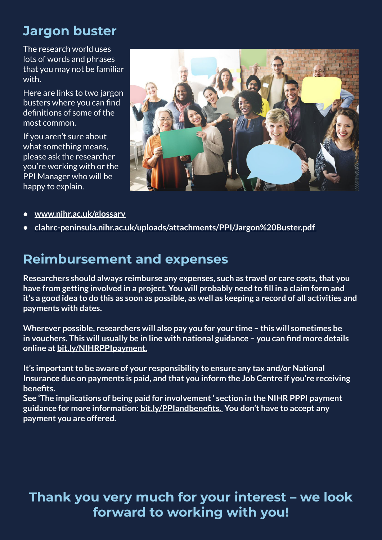# **Jargon buster**

The research world uses lots of words and phrases that you may not be familiar with.

Here are links to two jargon busters where you can find definitions of some of the most common.

If you aren't sure about what something means, please ask the researcher you're working with or the PPI Manager who will be happy to explain.



- **• www.nihr.ac.uk/glossary**
- **• clahrc-peninsula.nihr.ac.uk/uploads/attachments/PPI/Jargon%20Buster.pdf**

#### **Reimbursement and expenses**

**Researchers should always reimburse any expenses, such as travel or care costs, that you have from getting involved in a project. You will probably need to fill in a claim form and it's a good idea to do this as soon as possible, as well as keeping a record of all activities and payments with dates.**

**Wherever possible, researchers will also pay you for your time – this will sometimes be in vouchers. This will usually be in line with national guidance – you can find more details online at bit.ly/NIHRPPIpayment.**

**It's important to be aware of your responsibility to ensure any tax and/or National Insurance due on payments is paid, and that you inform the Job Centre if you're receiving benefits.** 

**See 'The implications of being paid for involvement ' section in the NIHR PPPI payment guidance for more information: bit.ly/PPIandbenefits. You don't have to accept any payment you are offered.**

#### **Thank you very much for your interest – we look forward to working with you!**